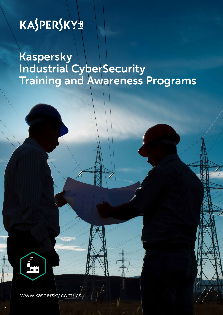# KASPERSKYS

Kaspersky Industrial CyberSecurity Training and Awareness Programs



www.kaspersky.com/ics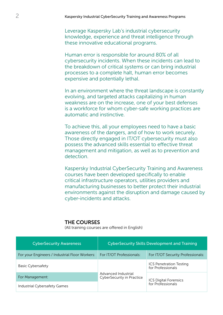Leverage Kaspersky Lab's industrial cybersecurity knowledge, experience and threat intelligence through these innovative educational programs.

Human error is responsible for around 80% of all cybersecurity incidents. When these incidents can lead to the breakdown of critical systems or can bring industrial processes to a complete halt, human error becomes expensive and potentially lethal.

In an environment where the threat landscape is constantly evolving, and targeted attacks capitalizing in human weakness are on the increase, one of your best defenses is a workforce for whom cyber-safe working practices are automatic and instinctive.

To achieve this, all your employees need to have a basic awareness of the dangers, and of how to work securely. Those directly engaged in IT/OT cybersecurity must also possess the advanced skills essential to effective threat management and mitigation, as well as to prevention and detection.

Kaspersky Industrial CyberSecurity Training and Awareness courses have been developed specifically to enable critical infrastructure operators, utilities providers and manufacturing businesses to better protect their industrial environments against the disruption and damage caused by cyber-incidents and attacks.

### THE COURSES

(All training courses are offered in English)

| <b>CyberSecurity Awareness</b>                 | <b>CyberSecurity Skills Development and Training</b>    |                                                   |
|------------------------------------------------|---------------------------------------------------------|---------------------------------------------------|
| For your Engineers / Industrial Floor Workers: | For IT/OT Professionals:                                | For IT/OT Security Professionals:                 |
| <b>Basic Cybersafety</b>                       | Advanced Industrial<br><b>CyberSecurity in Practice</b> | ICS Penetration Testing<br>for Professionals      |
| For Management:                                |                                                         | <b>ICS Digital Forensics</b><br>for Professionals |
| Industrial Cybersafety Games                   |                                                         |                                                   |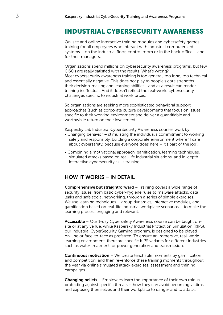## INDUSTRIAL CYBERSECURITY AWARENESS

On-site and online interactive training modules and cybersafety games training for all employees who interact with industrial computerized systems – on the industrial floor, control room or in the back-office – and for their managers.

Organizations spend millions on cybersecurity awareness programs, but few CISOs are really satisfied with the results. What's wrong? Most cybersecurity awareness training is too general, too long, too technical and essentially negative. This does not play to people's core strengths – their decision-making and learning abilities - and as a result can render training ineffectual. And it doesn't reflect the real-world cybersecurity challenges specific to industrial workforces.

So organizations are seeking more sophisticated behavioral support approaches (such as corporate culture development) that focus on issues specific to their working environment and deliver a quantifiable and worthwhile return on their investment.

Kaspersky Lab Industrial CyberSecurity Awareness courses work by:

- Changing behavior stimulating the individual's commitment to working safely and responsibly, building a corporate environment where "I care about cybersafety, because everyone does here – it's part of the job".
- Combining a motivational approach, gamification, learning techniques, simulated attacks based on real-life industrial situations, and in-depth interactive cybersecurity skills training.

## HOW IT WORKS – IN DETAIL

Comprehensive but straightforward – Training covers a wide range of security issues, from basic cyber-hygiene rules to malware attacks, data leaks and safe social networking, through a series of simple exercises. We use learning techniques – group dynamics, interactive modules, and gamification based on real-life industrial workplace scenarios – to make the learning process engaging and relevant.

Accessible – Our 1-day Cybersafety Awareness course can be taught onsite or at any venue, while Kaspersky Industrial Protection Simulation (KIPS), our Industrial CyberSecurity Gaming program, is designed to be played on-line or face-to-face as preferred. To ensure an immersive, real-world learning environment, there are specific KIPS variants for different industries, such as water treatment, or power generation and transmission.

**Continuous motivation** – We create teachable moments by gamification and competition, and then re-enforce these training moments throughout the year via online simulated attack exercises, assessment and training campaigns.

Changing beliefs – Employees learn the importance of their own role in protecting against specific threats – how they can avoid becoming victims and exposing themselves and their workplace to danger and to attack.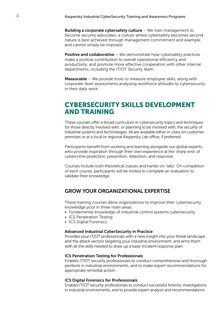**Building a corporate cybersafety culture**  $-$  We train management to become security advocates; a culture where cybersafety becomes second nature is best achieved through management commitment and example, and cannot simply be imposed.

**Positive and collaborative** – We demonstrate how cybersafety practices make a positive contribution to overall operational efficiency and productivity, and promote more effective cooperation with other internal departments, including the IT/OT Security team.

**Measurable** – We provide tools to measure employee skills, along with corporate-level assessments analyzing workforce attitudes to cybersecurity in their daily work.

## CYBERSECURITY SKILLS DEVELOPMENT AND TRAINING

These courses offer a broad curriculum in cybersecurity topics and techniques for those directly involved with, or planning to be involved with, the security of industrial systems and technologies. All are available either in-class on customer premises or at a local or regional Kaspersky Lab office, if preferred.

Participants benefit from working and learning alongside our global experts, who provide inspiration through their own experience at the 'sharp end' of cybercrime prediction, prevention, detection, and response.

Courses include both theoretical classes and hands-on 'labs'. On completion of each course, participants will be invited to complete an evaluation to validate their knowledge.

## GROW YOUR ORGANIZATIONAL EXPERTISE

These training courses allow organizations to improve their cybersecurity knowledge pool in three main areas:

- Fundamental knowledge of industrial control systems cybersecurity
- ICS Penetration Testing
- ICS Digital Forensics

#### Advanced Industrial CyberSecurity in Practice

Provides your IT/OT professionals with a new insight into your threat landscape and the attack vectors targeting your industrial environment, and arms them with all the skills needed to draw up a basic incident response plan.

#### ICS Penetration Testing for Professionals

Enables IT/OT security professionals to conduct comprehensive and thorough pentests in industrial environments, and to make expert recommendations for appropriate remedial action.

#### ICS Digital Forensics for Professionals

Enables IT/OT security professionals to conduct successful forensic investigations in industrial environments, and to provide expert analysis and recommendations.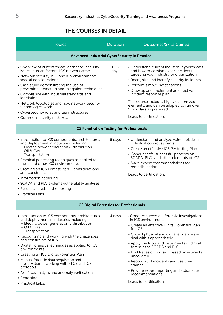## THE COURSES IN DETAIL

| <b>Topics</b>                                                                                                                                                                                                                                                                                                                                                                                                                                                                                                                                                           | <b>Duration</b> | <b>Outcomes/Skills Gained</b>                                                                                                                                                                                                                                                                                                                                                                                                                                                                         |  |
|-------------------------------------------------------------------------------------------------------------------------------------------------------------------------------------------------------------------------------------------------------------------------------------------------------------------------------------------------------------------------------------------------------------------------------------------------------------------------------------------------------------------------------------------------------------------------|-----------------|-------------------------------------------------------------------------------------------------------------------------------------------------------------------------------------------------------------------------------------------------------------------------------------------------------------------------------------------------------------------------------------------------------------------------------------------------------------------------------------------------------|--|
| <b>Advanced Industrial CyberSecurity in Practice</b>                                                                                                                                                                                                                                                                                                                                                                                                                                                                                                                    |                 |                                                                                                                                                                                                                                                                                                                                                                                                                                                                                                       |  |
| • Overview of current threat landscape, security<br>issues, human factors, ICS network attacks<br>• Network security in IT and ICS environments -<br>special considerations<br>• Case study demonstrating the use of<br>prevention, detection and mitigation techniques<br>• Compliance with industrial standards and<br>legislation<br>• Network topologies and how network security<br>technologies work<br>• Cybersecurity roles and team structures<br>• Common security mistakes.                                                                                  | $1 - 2$<br>days | • Understand current industrial cyberthreats<br>and how to combat cyber-incidents<br>targeting your industry or organization<br>• Recognize and identify security incidents<br>• Perform simple investigations<br>• Draw up and implement an effective<br>incident response plan.<br>This course includes highly customized<br>elements, and can be adapted to run over<br>1 or 2 days as preferred.<br>Leads to certification.                                                                       |  |
| <b>ICS Penetration Testing for Professionals</b>                                                                                                                                                                                                                                                                                                                                                                                                                                                                                                                        |                 |                                                                                                                                                                                                                                                                                                                                                                                                                                                                                                       |  |
| • Introduction to ICS components, architectures<br>and deployment in industries including:<br>- Electric power generation $\theta$ distribution<br>$-$ Oil & Gas<br>- Transportation<br>• Practical pentesting techniques as applied to<br>these and other ICS environments<br>• Creating an ICS Pentest Plan - considerations<br>and constraints<br>• Information gathering<br>• SCADA and PLC systems vulnerability analyses<br>• Results analysis and reporting<br>• Practical Labs.                                                                                 | 5 days          | • Understand and analyze vulnerabilities in<br>industrial control systems<br>• Create an effective ICS Pentesting Plan<br>• Conduct safe, successful pentests on<br>SCADA, PLCs and other elements of ICS<br>• Make expert recommendations for<br>remedial action.<br>Leads to certification.                                                                                                                                                                                                         |  |
| <b>ICS Digital Forensics for Professionals</b>                                                                                                                                                                                                                                                                                                                                                                                                                                                                                                                          |                 |                                                                                                                                                                                                                                                                                                                                                                                                                                                                                                       |  |
| • Introduction to ICS components, architectures<br>and deployment in industries including:<br>- Electric power generation $\theta$ distribution<br>$-$ Oil & Gas<br>- Transportation<br>• Recognizing and working with the challenges<br>and constraints of ICS<br>• Digital Forensics techniques as applied to ICS<br>environments<br>• Creating an ICS Digital Forensics Plan<br>• Manual forensic data acquisition and<br>preservation – working with RTOS and ICS<br>protocols<br>• Artefacts analysis and anomaly verification<br>• Reporting<br>• Practical Labs. | 4 days          | •Conduct successful forensic investigations<br>in ICS environments.<br>• Create an effective Digital Forensics Plan<br>for ICS<br>• Collect physical and digital evidence and<br>deal with it appropriately<br>• Apply the tools and instruments of digital<br>forensics to SCADA and PLC<br>• Find traces of intrusion based on artefacts<br>uncovered<br>• Reconstruct incidents and use time<br>stamps<br>• Provide expert reporting and actionable<br>recommendations.<br>Leads to certification. |  |